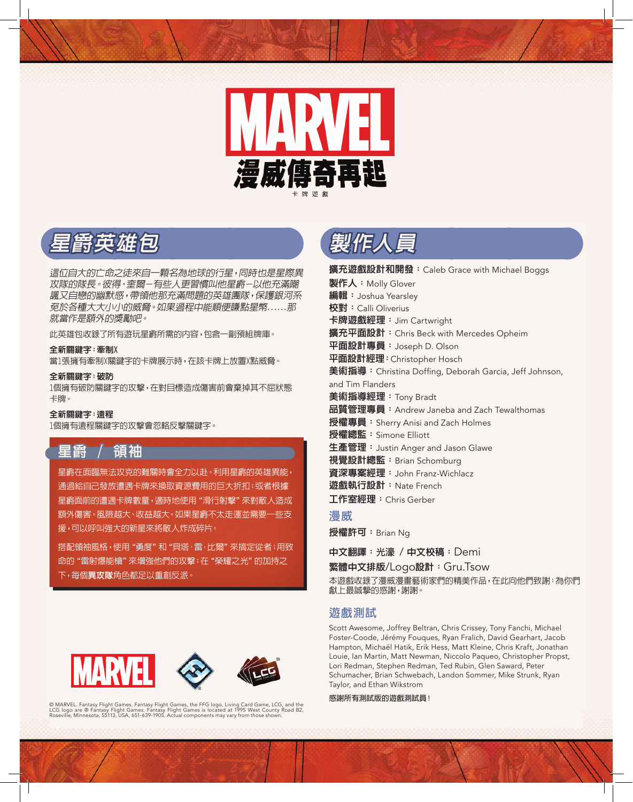

## **星爵英雄包**

這位自大的亡命之徒來自一顆名為地球的行星,同時也是星際異 攻隊的隊長。彼得•奎爾-有些人更習慣叫他星爵-以他充滿嘲 諷又自戀的幽默感,帶領他那充滿問題的英雄團隊,保護銀河系 免於各種大大小小的威脅。如果過程中能順便賺點星幣......那 就當作是額外的獎勵吧。

此英雄包收錄了所有遊玩星爵所需的內容,包含一副預組牌庫。

#### **全新關鍵字:牽制X**

當1張擁有牽制X關鍵字的卡牌展示時,在該卡牌上放置X點威脅。

#### **全新關鍵字:破防**

1個擁有破防關鍵字的攻擊,在對目標造成傷害前會棄掉其不屈狀態 卡牌。

#### **全新關鍵字:遠程**

1個擁有遠程關鍵字的攻擊會忽略反擊關鍵字。

# **星爵 / 領袖**

星爵在面臨無法攻克的難關時會全力以赴。利用星爵的英雄異能, 通過給自己發放遭遇卡牌來換取資源費用的巨大折扣;或者根據 星爵面前的遭遇卡牌數量,適時地使用"滑行射擊"來對敵人造成 額外傷害。風險越大、收益越大。如果星爵不太走運並需要一些支 援,可以呼叫強大的新星來將敵人炸成碎片。

搭配領袖風格,使用"勇度"和"貝塔·雷·比爾"來搞定從者;用致 命的"雷射爆能槍"來增強他們的攻擊;在"榮耀之光"的加持之 下,每個**異攻隊**角色都足以重創反派。



© MARVEL. Fantasy Flight Games. Fantasy Flight Games, the FFG logo, Living Card Game, LCG, and the<br>LCG logo are ® Fantasy Flight Games. Fantasy Flight Games is located at 1995 West County Road B2,<br>Roseville, Minnesota, 55



**擴充遊戲設計和開發:**Caleb Grace with Michael Boggs **製作人:**Molly Glover **編輯:**Joshua Yearsley **校對:**Calli Oliverius **卡牌遊戲經理:**Jim Cartwright **擴充平面設計:**Chris Beck with Mercedes Opheim **平面設計專員:**Joseph D. Olson **平面設計經理:**Christopher Hosch **美術指導:**Christina Doffing, Deborah Garcia, Jeff Johnson, and Tim Flanders **美術指導經理:**Tony Bradt **品質管理專員:**Andrew Janeba and Zach Tewalthomas **授權專員:**Sherry Anisi and Zach Holmes **授權總監:**Simone Elliott **生產管理:**Justin Anger and Jason Glawe **視覺設計總監:**Brian Schomburg **資深專案經理:**John Franz-Wichlacz **遊戲執行設計:**Nate French **工作室經理:**Chris Gerber **漫威 授權許可:**Brian Ng

**中文翻譯:光濠** / **中文校稿:**Demi

**繁體中文排版**/Logo**設計:**Gru.Tsow

本遊戲收錄了漫威漫畫藝術家們的精美作品,在此向他們致謝:為你們 獻上最誠摯的感謝,謝謝。

### **遊戲測試**

Scott Awesome, Joffrey Beltran, Chris Crissey, Tony Fanchi, Michael Foster-Coode, Jérémy Fouques, Ryan Fralich, David Gearhart, Jacob Hampton, Michaël Hatik, Erik Hess, Matt Kleine, Chris Kraft, Jonathan Louie, Ian Martin, Matt Newman, Niccolo Paqueo, Christopher Propst, Lori Redman, Stephen Redman, Ted Rubin, Glen Saward, Peter Schumacher, Brian Schwebach, Landon Sommer, Mike Strunk, Ryan Taylor, and Ethan Wikstrom

**感謝所有測試版的遊戲測試員!**